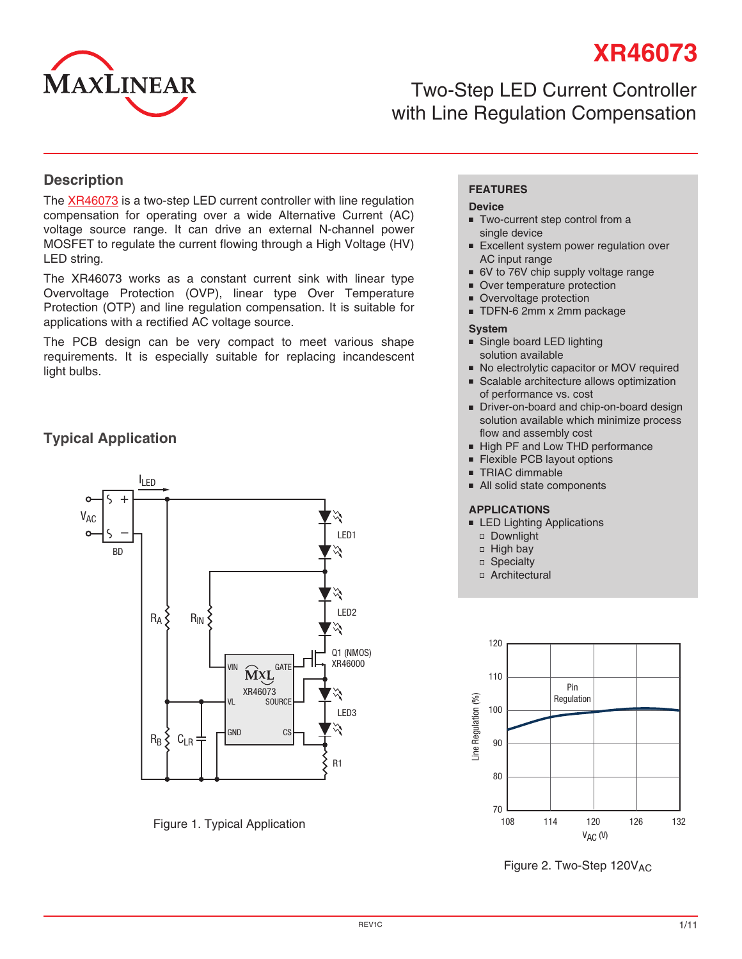

# **XR46073**

# Two-Step LED Current Controller with Line Regulation Compensation

#### **Description**

The [XR46073](http://www.exar.com/XR46073) is a two-step LED current controller with line regulation compensation for operating over a wide Alternative Current (AC) voltage source range. It can drive an external N-channel power MOSFET to regulate the current flowing through a High Voltage (HV) LED string.

The XR46073 works as a constant current sink with linear type Overvoltage Protection (OVP), linear type Over Temperature Protection (OTP) and line regulation compensation. It is suitable for applications with a rectified AC voltage source.

The PCB design can be very compact to meet various shape requirements. It is especially suitable for replacing incandescent light bulbs.

### **Typical Application**



Figure 1. Typical Application

#### **FEATURES**

#### **Device**

- Two-current step control from a single device
- Excellent system power regulation over AC input range
- 6V to 76V chip supply voltage range
- Over temperature protection
- Overvoltage protection
- TDFN-6 2mm x 2mm package

#### **System**

- Single board LED lighting solution available
- No electrolytic capacitor or MOV required
- Scalable architecture allows optimization of performance vs. cost
- Driver-on-board and chip-on-board design solution available which minimize process flow and assembly cost
- High PF and Low THD performance
- Flexible PCB layout options
- TRIAC dimmable
- All solid state components

#### **APPLICATIONS**

- LED Lighting Applications
	- Downlight
	- $\Box$  High bay
	- □ Specialty
	- Architectural



Figure 2. Two-Step 120VAC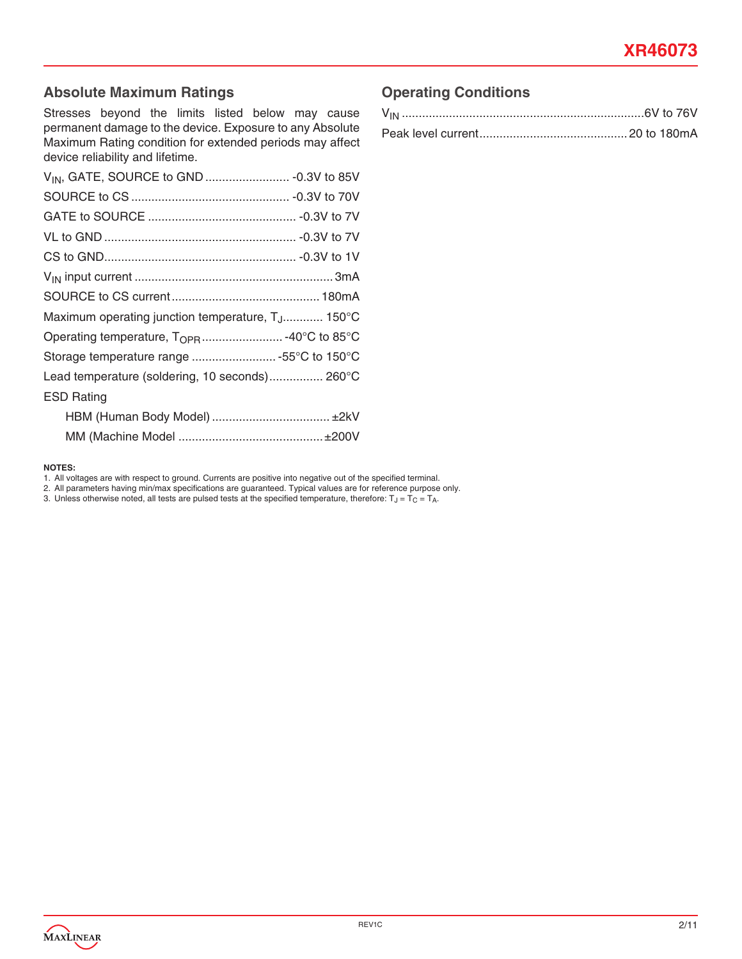### **Absolute Maximum Ratings**

Stresses beyond the limits listed below may cause permanent damage to the device. Exposure to any Absolute Maximum Rating condition for extended periods may affect device reliability and lifetime.

| Maximum operating junction temperature, T <sub>.J</sub> 150°C |  |
|---------------------------------------------------------------|--|
| Operating temperature, T <sub>OPR</sub> -40°C to 85°C         |  |
| Storage temperature range 55°C to 150°C                       |  |
| Lead temperature (soldering, 10 seconds) 260°C                |  |
| <b>ESD Rating</b>                                             |  |
|                                                               |  |
|                                                               |  |

#### **NOTES:**

1. All voltages are with respect to ground. Currents are positive into negative out of the specified terminal.

- 2. All parameters having min/max specifications are guaranteed. Typical values are for reference purpose only.
- 3. Unless otherwise noted, all tests are pulsed tests at the specified temperature, therefore:  $T_J = T_C = T_A$ .

### **Operating Conditions**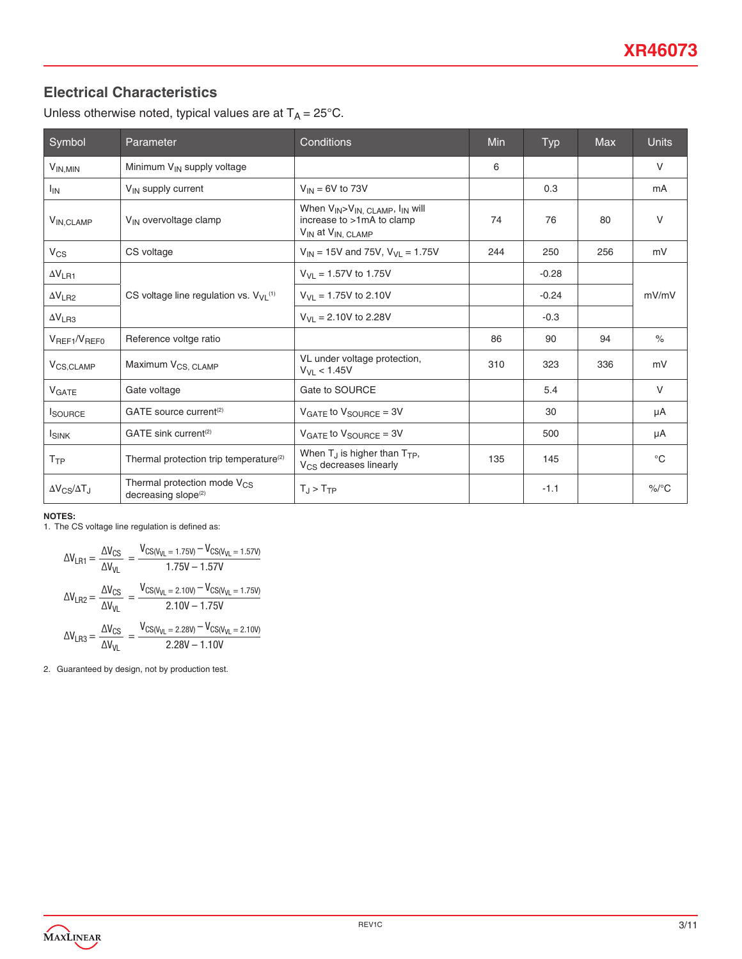### **Electrical Characteristics**

Unless otherwise noted, typical values are at  $T_A = 25^{\circ}$ C.

| Symbol                     | Parameter                                                                  | Conditions                                                                                                                                    | Min | Typ     | <b>Max</b> | <b>Units</b> |
|----------------------------|----------------------------------------------------------------------------|-----------------------------------------------------------------------------------------------------------------------------------------------|-----|---------|------------|--------------|
| $V_{IN,MIN}$               | Minimum V <sub>IN</sub> supply voltage                                     |                                                                                                                                               | 6   |         |            | $\vee$       |
| $I_{IN}$                   | $V_{IN}$ supply current                                                    | $V_{IN}$ = 6V to 73V                                                                                                                          |     | 0.3     |            | mA           |
| V <sub>IN, CLAMP</sub>     | V <sub>IN</sub> overvoltage clamp                                          | When V <sub>IN</sub> >V <sub>IN, CLAMP</sub> , I <sub>IN</sub> will<br>increase to >1mA to clamp<br>V <sub>IN</sub> at V <sub>IN, CLAMP</sub> | 74  | 76      | 80         | $\vee$       |
| $V_{CS}$                   | CS voltage                                                                 | $V_{IN}$ = 15V and 75V, $V_{VL}$ = 1.75V                                                                                                      | 244 | 250     | 256        | mV           |
| $\Delta V_{LR1}$           |                                                                            | $V_{VI}$ = 1.57V to 1.75V                                                                                                                     |     | $-0.28$ |            |              |
| $\Delta V_{LR2}$           | CS voltage line regulation vs. $V_{VI}$ <sup>(1)</sup>                     | $V_{VL} = 1.75V$ to 2.10V                                                                                                                     |     | $-0.24$ |            | mV/mV        |
| $\Delta V_{LR3}$           |                                                                            | $V_{V1}$ = 2.10V to 2.28V                                                                                                                     |     | $-0.3$  |            |              |
| $V_{REF1}/V_{REF0}$        | Reference voltge ratio                                                     |                                                                                                                                               | 86  | 90      | 94         | $\%$         |
| V <sub>CS,CLAMP</sub>      | Maximum V <sub>CS, CLAMP</sub>                                             | VL under voltage protection,<br>$V_{V1}$ < 1.45V                                                                                              | 310 | 323     | 336        | mV           |
| VGATE                      | Gate voltage                                                               | Gate to SOURCE                                                                                                                                |     | 5.4     |            | $\vee$       |
| <b>I</b> SOURCE            | GATE source current <sup>(2)</sup>                                         | $V_{GATE}$ to $V_{SOLRCE} = 3V$                                                                                                               |     | 30      |            | μA           |
| <b>ISINK</b>               | GATE sink current <sup>(2)</sup>                                           | $V_{GATE}$ to $V_{SOLRCE} = 3V$                                                                                                               |     | 500     |            | μA           |
| T <sub>TP</sub>            | Thermal protection trip temperature <sup>(2)</sup>                         | When $T_{\rm J}$ is higher than $T_{\rm TP}$ ,<br>V <sub>CS</sub> decreases linearly                                                          | 135 | 145     |            | $^{\circ}C$  |
| $\Delta V_{CS}/\Delta T_J$ | Thermal protection mode V <sub>CS</sub><br>decreasing slope <sup>(2)</sup> | $T_J > T_{TP}$                                                                                                                                |     | $-1.1$  |            | $\%$ /°C     |

#### **NOTES:**

1. The CS voltage line regulation is defined as:

$$
\Delta V_{LR1} = \frac{\Delta V_{CS}}{\Delta V_{VL}} = \frac{V_{CS(V_{VL} = 1.75V)} - V_{CS(V_{VL} = 1.57V)}}{1.75V - 1.57V}
$$

$$
\Delta V_{LR2} = \frac{\Delta V_{CS}}{\Delta V_{VL}} = \frac{V_{CS(V_{VL} = 2.10V)} - V_{CS(V_{VL} = 1.75V)}}{2.10V - 1.75V}
$$

$$
\Delta V_{LR3} = \frac{\Delta V_{CS}}{\Delta V_{VL}} = \frac{V_{CS(V_{VL} = 2.28V)} - V_{CS(V_{VL} = 2.10V)}}{2.28V - 1.10V}
$$

2. Guaranteed by design, not by production test.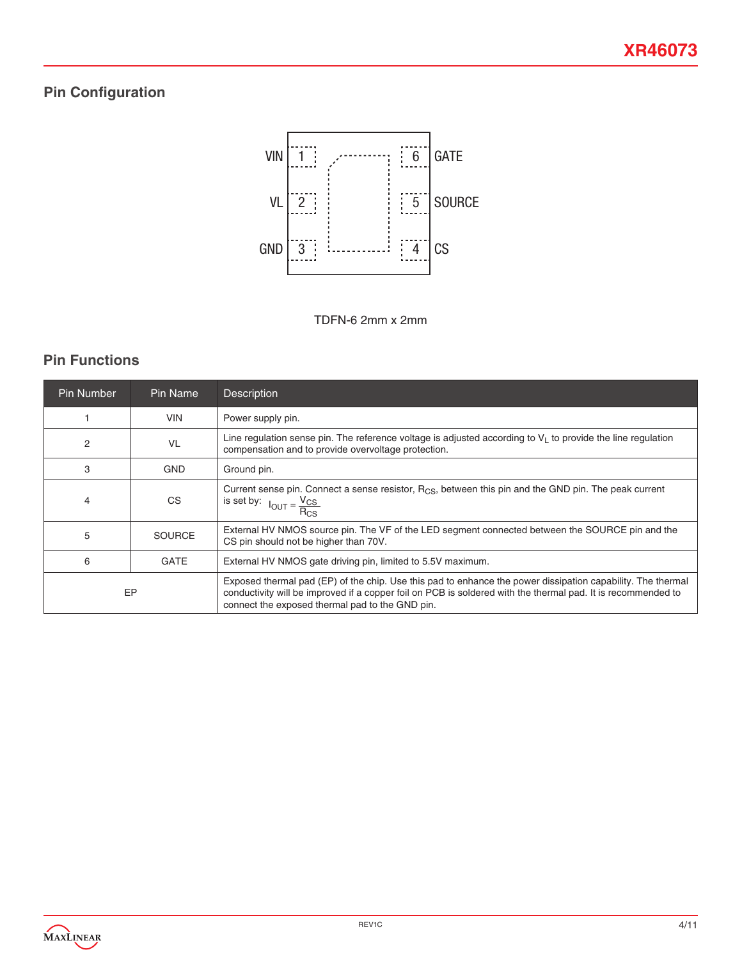## **Pin Configuration**



TDFN-6 2mm x 2mm

### **Pin Functions**

| Pin Number     | Pin Name      | <b>Description</b>                                                                                                                                                                                                                                                             |  |
|----------------|---------------|--------------------------------------------------------------------------------------------------------------------------------------------------------------------------------------------------------------------------------------------------------------------------------|--|
|                | <b>VIN</b>    | Power supply pin.                                                                                                                                                                                                                                                              |  |
| $\overline{2}$ | VL            | Line regulation sense pin. The reference voltage is adjusted according to $V_1$ to provide the line regulation<br>compensation and to provide overvoltage protection.                                                                                                          |  |
| 3              | <b>GND</b>    | Ground pin.                                                                                                                                                                                                                                                                    |  |
| 4              | <b>CS</b>     | Current sense pin. Connect a sense resistor, R <sub>CS</sub> , between this pin and the GND pin. The peak current<br>is set by: $I_{OUT} = \frac{V_{CS}}{P}$                                                                                                                   |  |
| 5              | <b>SOURCE</b> | External HV NMOS source pin. The VF of the LED segment connected between the SOURCE pin and the<br>CS pin should not be higher than 70V.                                                                                                                                       |  |
| 6              | <b>GATE</b>   | External HV NMOS gate driving pin, limited to 5.5V maximum.                                                                                                                                                                                                                    |  |
|                | EP            | Exposed thermal pad (EP) of the chip. Use this pad to enhance the power dissipation capability. The thermal<br>conductivity will be improved if a copper foil on PCB is soldered with the thermal pad. It is recommended to<br>connect the exposed thermal pad to the GND pin. |  |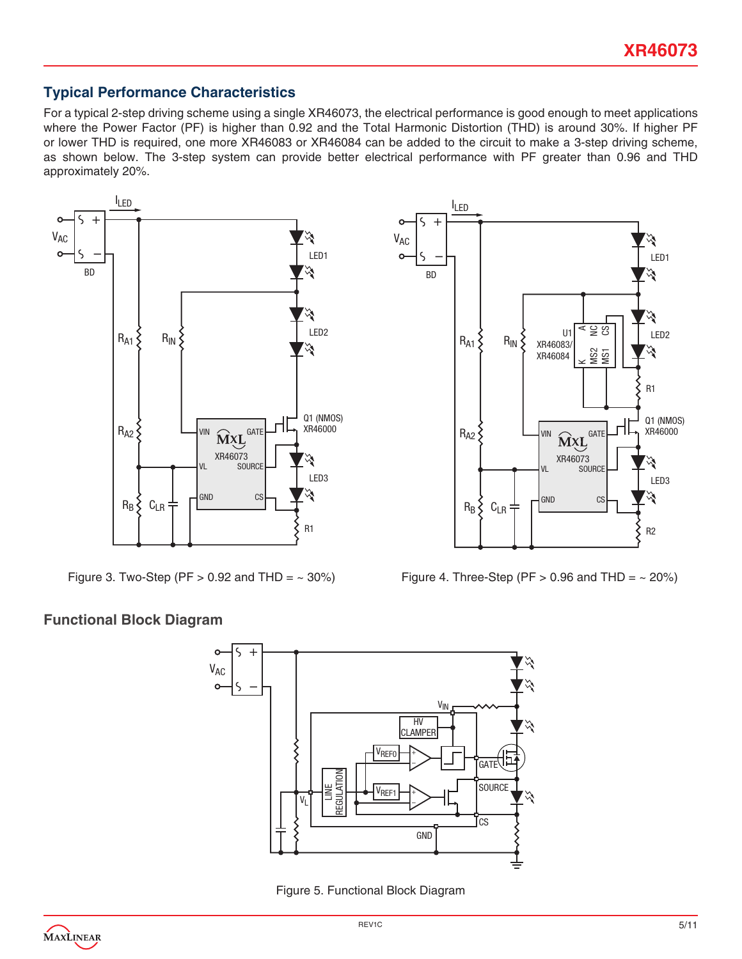### **Typical Performance Characteristics**

For a typical 2-step driving scheme using a single XR46073, the electrical performance is good enough to meet applications where the Power Factor (PF) is higher than 0.92 and the Total Harmonic Distortion (THD) is around 30%. If higher PF or lower THD is required, one more XR46083 or XR46084 can be added to the circuit to make a 3-step driving scheme, as shown below. The 3-step system can provide better electrical performance with PF greater than 0.96 and THD approximately 20%.



Figure 3. Two-Step (PF > 0.92 and THD =  $\sim 30\%$ ) Figure 4. Three-Step (PF > 0.96 and THD =  $\sim 20\%$ )

#### **Functional Block Diagram**



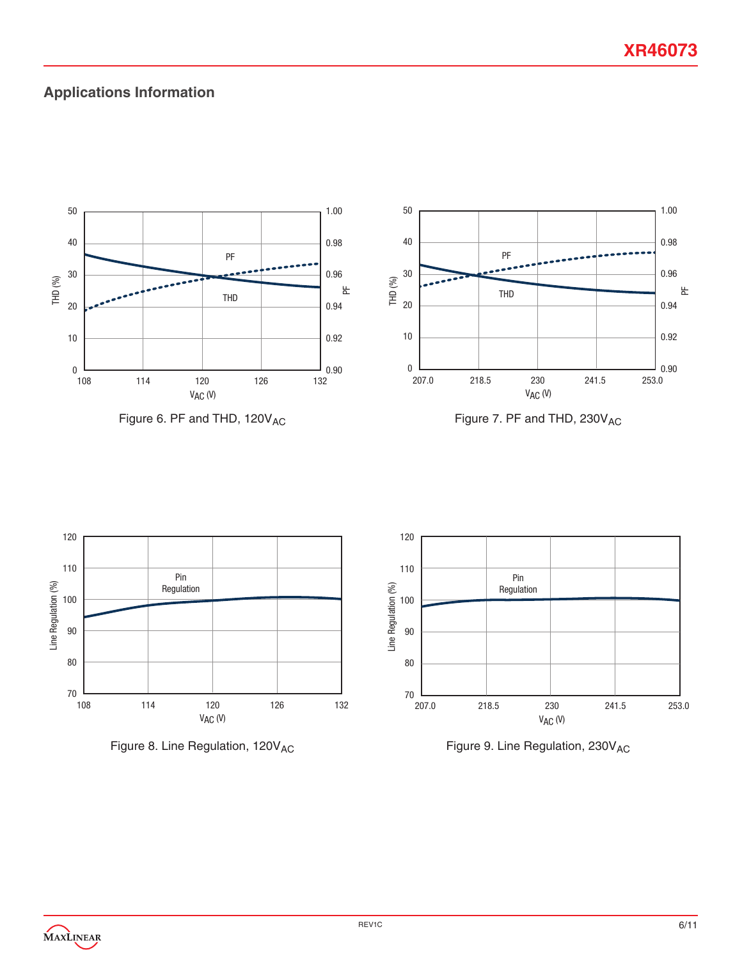### **Applications Information**



Figure 6. PF and THD, 120V<sub>AC</sub>



Figure 7. PF and THD, 230V<sub>AC</sub>







Figure 9. Line Regulation, 230V<sub>AC</sub>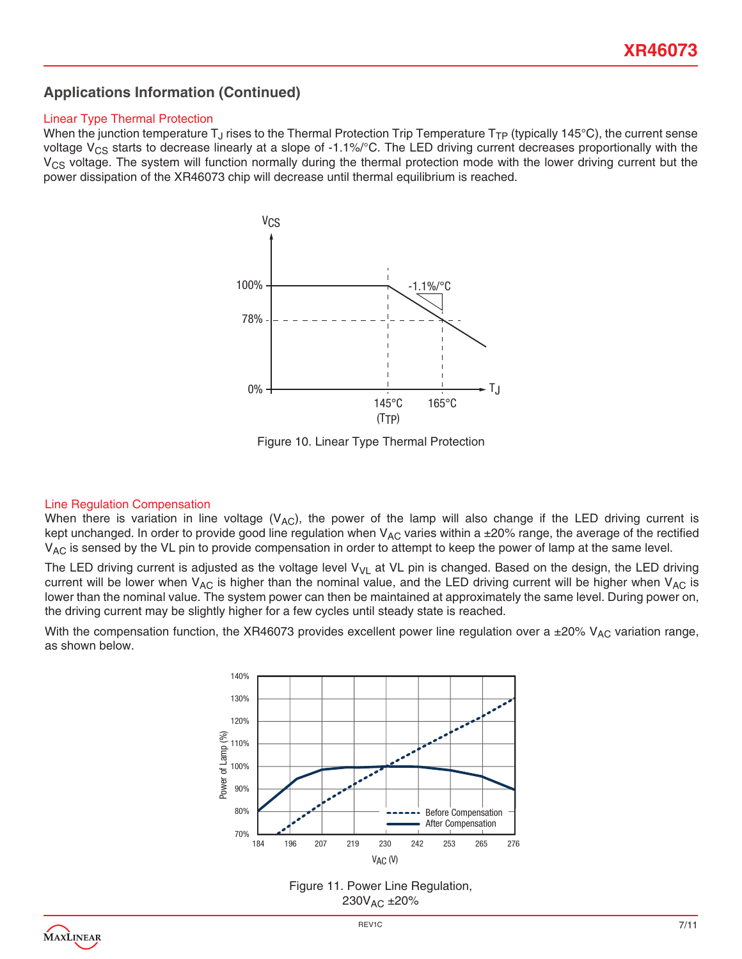### **Applications Information (Continued)**

#### Linear Type Thermal Protection

When the junction temperature T<sub>J</sub> rises to the Thermal Protection Trip Temperature T<sub>TP</sub> (typically 145°C), the current sense voltage  $V_{CS}$  starts to decrease linearly at a slope of -1.1%/°C. The LED driving current decreases proportionally with the  $V_{CS}$  voltage. The system will function normally during the thermal protection mode with the lower driving current but the power dissipation of the XR46073 chip will decrease until thermal equilibrium is reached.



Figure 10. Linear Type Thermal Protection

#### Line Regulation Compensation

When there is variation in line voltage ( $V_{AC}$ ), the power of the lamp will also change if the LED driving current is kept unchanged. In order to provide good line regulation when  $V_{AC}$  varies within a  $\pm 20\%$  range, the average of the rectified V<sub>AC</sub> is sensed by the VL pin to provide compensation in order to attempt to keep the power of lamp at the same level.

The LED driving current is adjusted as the voltage level  $V_{VL}$  at VL pin is changed. Based on the design, the LED driving current will be lower when  $V_{AC}$  is higher than the nominal value, and the LED driving current will be higher when  $V_{AC}$  is lower than the nominal value. The system power can then be maintained at approximately the same level. During power on, the driving current may be slightly higher for a few cycles until steady state is reached.

With the compensation function, the XR46073 provides excellent power line regulation over a ±20% V<sub>AC</sub> variation range, as shown below.



Figure 11. Power Line Regulation, 230VAC ±20%

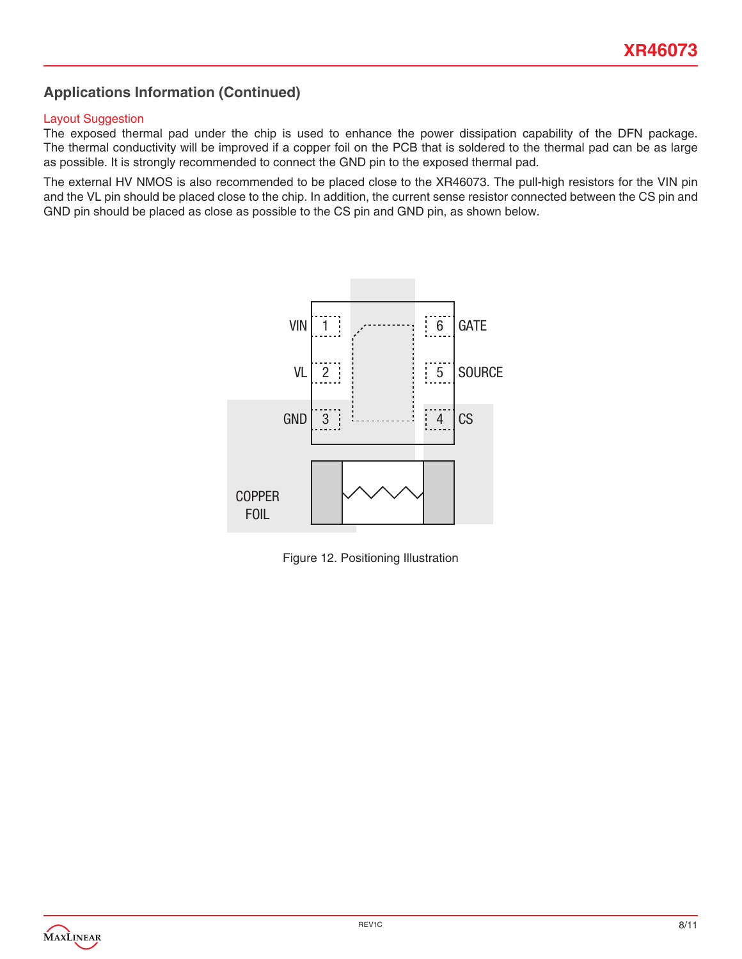### **Applications Information (Continued)**

#### Layout Suggestion

The exposed thermal pad under the chip is used to enhance the power dissipation capability of the DFN package. The thermal conductivity will be improved if a copper foil on the PCB that is soldered to the thermal pad can be as large as possible. It is strongly recommended to connect the GND pin to the exposed thermal pad.

The external HV NMOS is also recommended to be placed close to the XR46073. The pull-high resistors for the VIN pin and the VL pin should be placed close to the chip. In addition, the current sense resistor connected between the CS pin and GND pin should be placed as close as possible to the CS pin and GND pin, as shown below.



Figure 12. Positioning Illustration

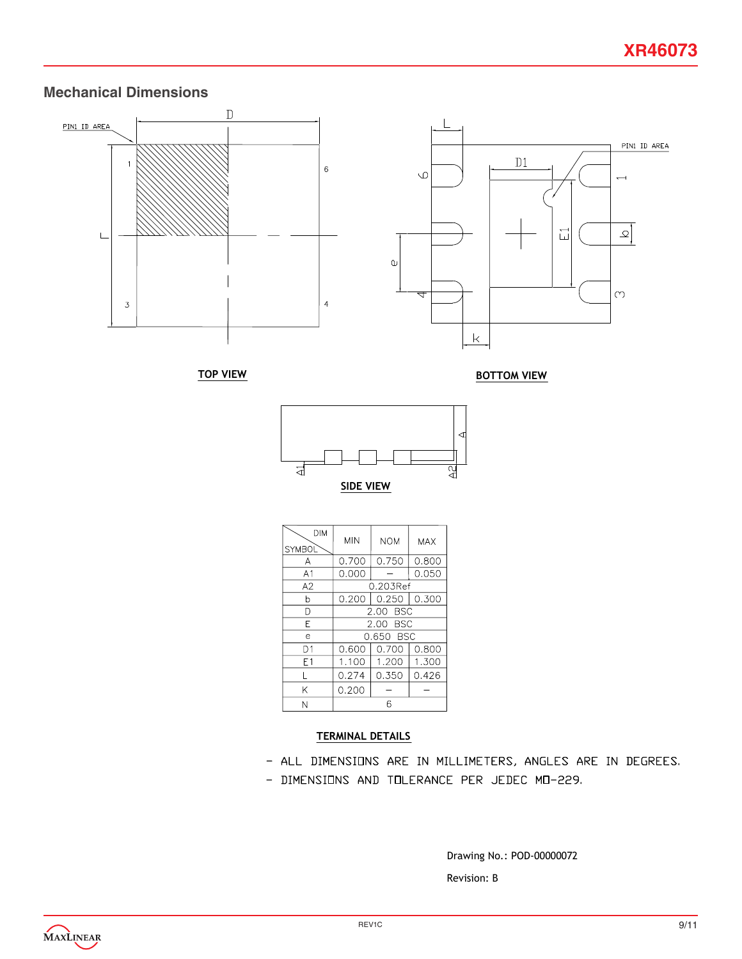### **Mechanical Dimensions**





| <b>DIM</b><br>SYMBOL | <b>MIN</b>    | <b>NOM</b> | MAX   |
|----------------------|---------------|------------|-------|
| А                    | 0.700         | 0.750      | 0.800 |
| A <sub>1</sub>       | 0.000         |            | 0.050 |
| A2                   | 0.203Ref      |            |       |
| h                    | 0.200         | $0.250$    | 0.300 |
| D                    | - BSC<br>2.00 |            |       |
| E                    | 2.00 BSC      |            |       |
| e                    | 0.650 BSC     |            |       |
| D1                   | 0.600         | 0.700      | 0.800 |
| E1                   | 1.100         | 1.200      | 1.300 |
| $\mathsf{I}$         | 0.274         | 0.350      | 0.426 |
| K                    | 0.200         |            |       |
| N                    | 6             |            |       |

#### TERMINAL DETAILS

- ALL DIMENSIONS ARE IN MILLIMETERS, ANGLES ARE IN DEGREES. - DIMENSIONS AND TOLERANCE PER JEDEC MO-229.

> Revision: B Drawing No.: POD-00000072

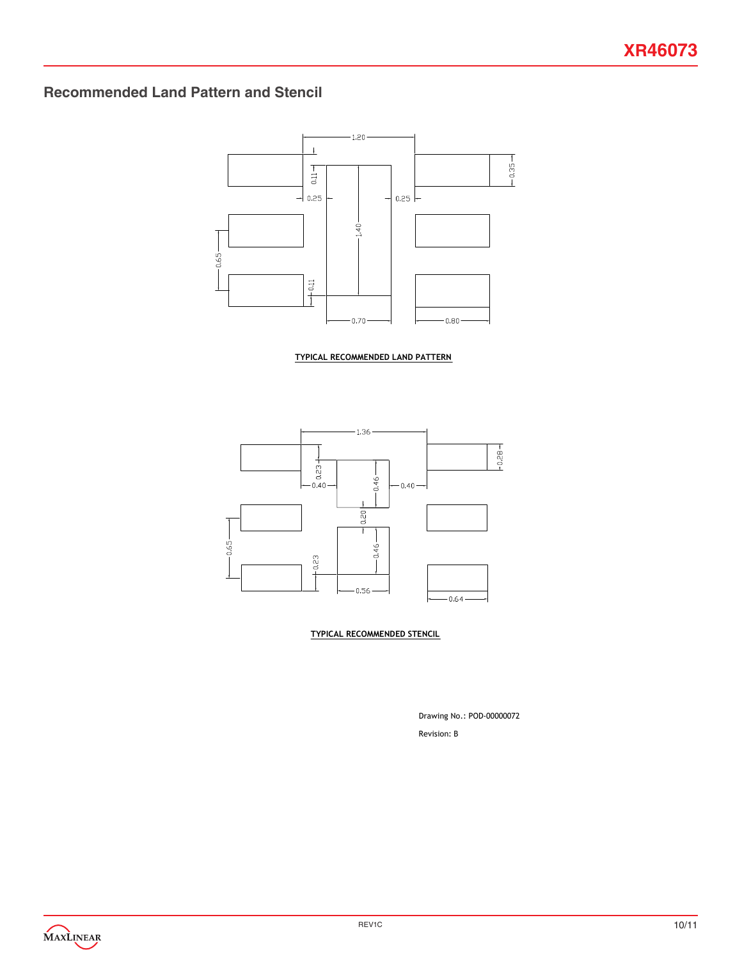### **Recommended Land Pattern and Stencil**



TYPICAL RECOMMENDED LAND PATTERN



TYPICAL RECOMMENDED STENCIL

Revision: B Drawing No.: POD-00000072